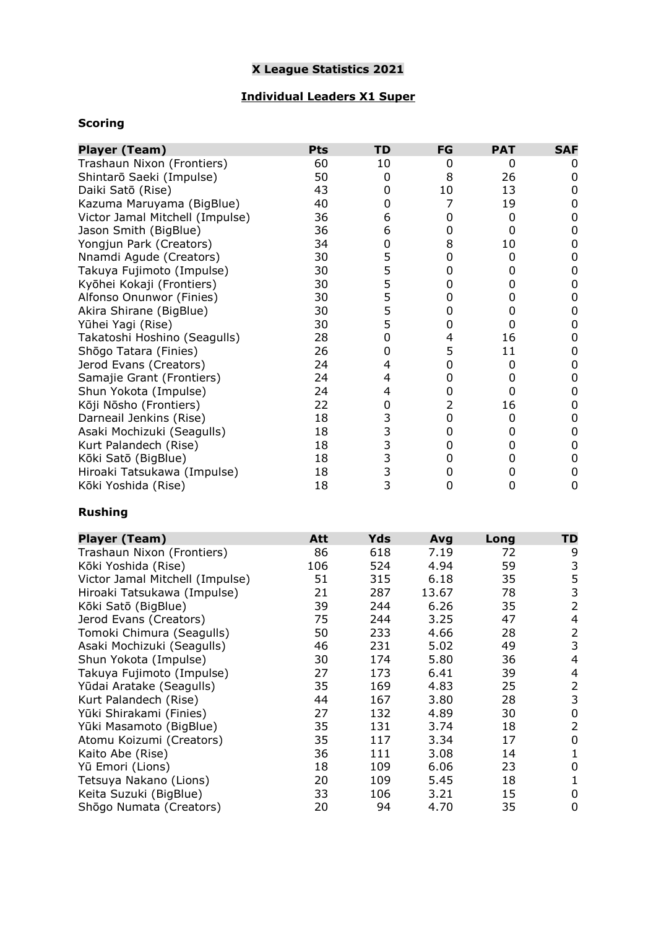# **X League Statistics 2021**

## **Individual Leaders X1 Super**

## **Scoring**

| <b>Player (Team)</b>            | <b>Pts</b> | TD                                         | FG | <b>PAT</b> | <b>SAF</b> |
|---------------------------------|------------|--------------------------------------------|----|------------|------------|
| Trashaun Nixon (Frontiers)      | 60         | 10                                         | Ω  | 0          |            |
| Shintarō Saeki (Impulse)        | 50         | 0                                          | 8  | 26         |            |
| Daiki Satō (Rise)               | 43         | 0                                          | 10 | 13         |            |
| Kazuma Maruyama (BigBlue)       | 40         | 0                                          | 7  | 19         |            |
| Victor Jamal Mitchell (Impulse) | 36         | 6                                          | Ω  | 0          |            |
| Jason Smith (BigBlue)           | 36         | 6                                          | 0  | 0          |            |
| Yongjun Park (Creators)         | 34         | 0                                          | 8  | 10         |            |
| Nnamdi Agude (Creators)         | 30         | 5                                          | 0  | 0          |            |
| Takuya Fujimoto (Impulse)       | 30         | 5                                          | 0  | 0          |            |
| Kyōhei Kokaji (Frontiers)       | 30         | 5                                          | Ω  | 0          |            |
| Alfonso Onunwor (Finies)        | 30         | 5                                          | 0  | 0          |            |
| Akira Shirane (BigBlue)         | 30         | 5                                          | 0  | 0          |            |
| Yūhei Yagi (Rise)               | 30         | 5                                          | 0  | 0          |            |
| Takatoshi Hoshino (Seagulls)    | 28         | 0                                          | 4  | 16         |            |
| Shōgo Tatara (Finies)           | 26         | 0                                          | 5  | 11         |            |
| Jerod Evans (Creators)          | 24         | 4                                          | 0  | Ω          |            |
| Samajie Grant (Frontiers)       | 24         | 4                                          | Ω  | 0          |            |
| Shun Yokota (Impulse)           | 24         | 4                                          | 0  | 0          |            |
| Kōji Nōsho (Frontiers)          | 22         | 0                                          | 2  | 16         |            |
| Darneail Jenkins (Rise)         | 18         | 3                                          | 0  | 0          |            |
| Asaki Mochizuki (Seagulls)      | 18         | 3                                          | 0  | 0          |            |
| Kurt Palandech (Rise)           | 18         | $\begin{array}{c} 3 \\ 3 \\ 3 \end{array}$ | 0  | 0          |            |
| Kōki Satō (BigBlue)             | 18         |                                            | Ω  | 0          |            |
| Hiroaki Tatsukawa (Impulse)     | 18         |                                            |    |            |            |
| Kōki Yoshida (Rise)             | 18         | 3                                          | Ω  | 0          | 0          |

#### **Rushing**

| <b>Player (Team)</b>            | Att | <b>Yds</b> | Avg   | Long | TD             |
|---------------------------------|-----|------------|-------|------|----------------|
| Trashaun Nixon (Frontiers)      | 86  | 618        | 7.19  | 72   | 9              |
| Kōki Yoshida (Rise)             | 106 | 524        | 4.94  | 59   | 3              |
| Victor Jamal Mitchell (Impulse) | 51  | 315        | 6.18  | 35   | 5              |
| Hiroaki Tatsukawa (Impulse)     | 21  | 287        | 13.67 | 78   | 3              |
| Kōki Satō (BigBlue)             | 39  | 244        | 6.26  | 35   | 2              |
| Jerod Evans (Creators)          | 75  | 244        | 3.25  | 47   | 4              |
| Tomoki Chimura (Seagulls)       | 50  | 233        | 4.66  | 28   | 2              |
| Asaki Mochizuki (Seagulls)      | 46  | 231        | 5.02  | 49   | 3              |
| Shun Yokota (Impulse)           | 30  | 174        | 5.80  | 36   | 4              |
| Takuya Fujimoto (Impulse)       | 27  | 173        | 6.41  | 39   | 4              |
| Yūdai Aratake (Seagulls)        | 35  | 169        | 4.83  | 25   | $\overline{2}$ |
| Kurt Palandech (Rise)           | 44  | 167        | 3.80  | 28   | 3              |
| Yūki Shirakami (Finies)         | 27  | 132        | 4.89  | 30   | 0              |
| Yūki Masamoto (BigBlue)         | 35  | 131        | 3.74  | 18   | 2              |
| Atomu Koizumi (Creators)        | 35  | 117        | 3.34  | 17   | 0              |
| Kaito Abe (Rise)                | 36  | 111        | 3.08  | 14   | 1              |
| Yū Emori (Lions)                | 18  | 109        | 6.06  | 23   | 0              |
| Tetsuya Nakano (Lions)          | 20  | 109        | 5.45  | 18   | 1              |
| Keita Suzuki (BigBlue)          | 33  | 106        | 3.21  | 15   | 0              |
| Shōgo Numata (Creators)         | 20  | 94         | 4.70  | 35   | 0              |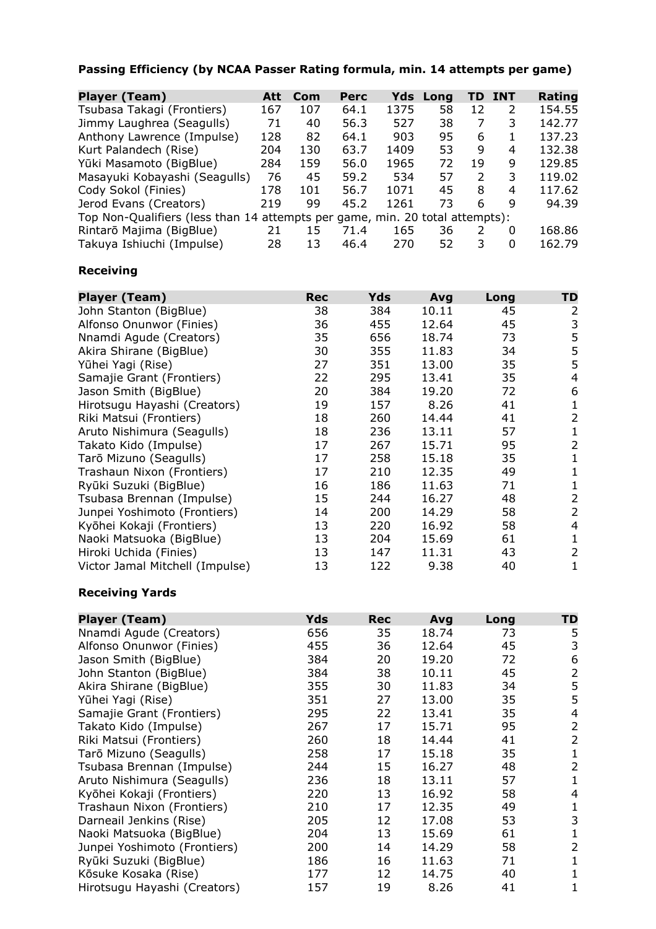## **Passing Efficiency (by NCAA Passer Rating formula, min. 14 attempts per game)**

| <b>Player (Team)</b>                                                         | Att | Com | <b>Perc</b> | Yds  | Long | TD.           | <b>INT</b> | Rating |
|------------------------------------------------------------------------------|-----|-----|-------------|------|------|---------------|------------|--------|
| Tsubasa Takagi (Frontiers)                                                   | 167 | 107 | 64.1        | 1375 | 58   | 12            | 2          | 154.55 |
| Jimmy Laughrea (Seagulls)                                                    | 71  | 40  | 56.3        | 527  | 38   | 7             | 3          | 142.77 |
| Anthony Lawrence (Impulse)                                                   | 128 | 82  | 64.1        | 903  | 95   | 6             |            | 137.23 |
| Kurt Palandech (Rise)                                                        | 204 | 130 | 63.7        | 1409 | 53   | 9             | 4          | 132.38 |
| Yūki Masamoto (BigBlue)                                                      | 284 | 159 | 56.0        | 1965 | 72   | 19            | 9          | 129.85 |
| Masayuki Kobayashi (Seagulls)                                                | 76  | 45  | 59.2        | 534  | 57   | $\mathcal{L}$ | 3          | 119.02 |
| Cody Sokol (Finies)                                                          | 178 | 101 | 56.7        | 1071 | 45   | 8             | 4          | 117.62 |
| Jerod Evans (Creators)                                                       | 219 | 99  | 45.2        | 1261 | 73   | 6             | q          | 94.39  |
| Top Non-Qualifiers (less than 14 attempts per game, min. 20 total attempts): |     |     |             |      |      |               |            |        |
| Rintarō Majima (BigBlue)                                                     | 21  | 15  | 71.4        | 165  | 36   | 2             | 0          | 168.86 |
| Takuya Ishiuchi (Impulse)                                                    | 28  | 13  | 46.4        | 270  | 52   | 3             | 0          | 162.79 |

#### **Receiving**

| <b>Player (Team)</b>            | <b>Rec</b> | <b>Yds</b> | Avg   | Long | TD            |
|---------------------------------|------------|------------|-------|------|---------------|
| John Stanton (BigBlue)          | 38         | 384        | 10.11 | 45   | 2             |
| Alfonso Onunwor (Finies)        | 36         | 455        | 12.64 | 45   | 3             |
| Nnamdi Agude (Creators)         | 35         | 656        | 18.74 | 73   | 5             |
| Akira Shirane (BigBlue)         | 30         | 355        | 11.83 | 34   | 5             |
| Yūhei Yagi (Rise)               | 27         | 351        | 13.00 | 35   | 5             |
| Samajie Grant (Frontiers)       | 22         | 295        | 13.41 | 35   | 4             |
| Jason Smith (BigBlue)           | 20         | 384        | 19.20 | 72   | 6             |
| Hirotsugu Hayashi (Creators)    | 19         | 157        | 8.26  | 41   | 1             |
| Riki Matsui (Frontiers)         | 18         | 260        | 14.44 | 41   | 2             |
| Aruto Nishimura (Seagulls)      | 18         | 236        | 13.11 | 57   | 1             |
| Takato Kido (Impulse)           | 17         | 267        | 15.71 | 95   | 2             |
| Tarō Mizuno (Seagulls)          | 17         | 258        | 15.18 | 35   | 1             |
| Trashaun Nixon (Frontiers)      | 17         | 210        | 12.35 | 49   |               |
| Ryūki Suzuki (BigBlue)          | 16         | 186        | 11.63 | 71   |               |
| Tsubasa Brennan (Impulse)       | 15         | 244        | 16.27 | 48   | $\mathcal{P}$ |
| Junpei Yoshimoto (Frontiers)    | 14         | 200        | 14.29 | 58   | $\mathcal{P}$ |
| Kyōhei Kokaji (Frontiers)       | 13         | 220        | 16.92 | 58   | 4             |
| Naoki Matsuoka (BigBlue)        | 13         | 204        | 15.69 | 61   | 1             |
| Hiroki Uchida (Finies)          | 13         | 147        | 11.31 | 43   | 2             |
| Victor Jamal Mitchell (Impulse) | 13         | 122        | 9.38  | 40   | 1             |

#### **Receiving Yards**

| <b>Player (Team)</b>         | Yds | Rec | Avg   | Long | TD             |
|------------------------------|-----|-----|-------|------|----------------|
| Nnamdi Agude (Creators)      | 656 | 35  | 18.74 | 73   | 5              |
| Alfonso Onunwor (Finies)     | 455 | 36  | 12.64 | 45   | 3              |
| Jason Smith (BigBlue)        | 384 | 20  | 19.20 | 72   | 6              |
| John Stanton (BigBlue)       | 384 | 38  | 10.11 | 45   | $\overline{2}$ |
| Akira Shirane (BigBlue)      | 355 | 30  | 11.83 | 34   | 5              |
| Yūhei Yagi (Rise)            | 351 | 27  | 13.00 | 35   | 5              |
| Samajie Grant (Frontiers)    | 295 | 22  | 13.41 | 35   | 4              |
| Takato Kido (Impulse)        | 267 | 17  | 15.71 | 95   | $\overline{2}$ |
| Riki Matsui (Frontiers)      | 260 | 18  | 14.44 | 41   | 2              |
| Tarō Mizuno (Seagulls)       | 258 | 17  | 15.18 | 35   | 1              |
| Tsubasa Brennan (Impulse)    | 244 | 15  | 16.27 | 48   | 2              |
| Aruto Nishimura (Seagulls)   | 236 | 18  | 13.11 | 57   | 1              |
| Kyōhei Kokaji (Frontiers)    | 220 | 13  | 16.92 | 58   | 4              |
| Trashaun Nixon (Frontiers)   | 210 | 17  | 12.35 | 49   | 1              |
| Darneail Jenkins (Rise)      | 205 | 12  | 17.08 | 53   | 3              |
| Naoki Matsuoka (BigBlue)     | 204 | 13  | 15.69 | 61   |                |
| Junpei Yoshimoto (Frontiers) | 200 | 14  | 14.29 | 58   | $\overline{2}$ |
| Ryūki Suzuki (BigBlue)       | 186 | 16  | 11.63 | 71   | 1              |
| Kōsuke Kosaka (Rise)         | 177 | 12  | 14.75 | 40   | 1              |
| Hirotsugu Hayashi (Creators) | 157 | 19  | 8.26  | 41   | 1              |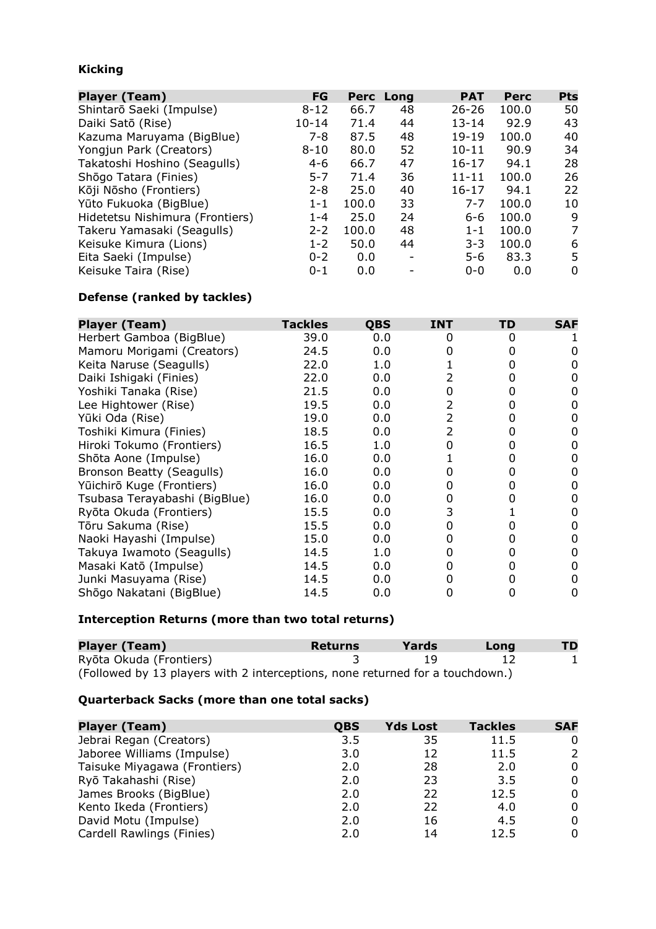## **Kicking**

| <b>Player (Team)</b>            | FG        |       | Perc Long | <b>PAT</b> | Perc  | <b>Pts</b> |
|---------------------------------|-----------|-------|-----------|------------|-------|------------|
| Shintarō Saeki (Impulse)        | $8 - 12$  | 66.7  | 48        | $26 - 26$  | 100.0 | 50         |
| Daiki Satō (Rise)               | $10 - 14$ | 71.4  | 44        | $13 - 14$  | 92.9  | 43         |
| Kazuma Maruyama (BigBlue)       | 7-8       | 87.5  | 48        | $19-19$    | 100.0 | 40         |
| Yongjun Park (Creators)         | $8 - 10$  | 80.0  | 52        | $10 - 11$  | 90.9  | 34         |
| Takatoshi Hoshino (Seagulls)    | $4 - 6$   | 66.7  | 47        | $16 - 17$  | 94.1  | 28         |
| Shōgo Tatara (Finies)           | $5 - 7$   | 71.4  | 36        | $11 - 11$  | 100.0 | 26         |
| Kōji Nōsho (Frontiers)          | $2 - 8$   | 25.0  | 40        | $16 - 17$  | 94.1  | 22         |
| Yūto Fukuoka (BigBlue)          | $1 - 1$   | 100.0 | 33        | $7 - 7$    | 100.0 | 10         |
| Hidetetsu Nishimura (Frontiers) | $1 - 4$   | 25.0  | 24        | $6 - 6$    | 100.0 | 9          |
| Takeru Yamasaki (Seagulls)      | $2 - 2$   | 100.0 | 48        | $1 - 1$    | 100.0 | 7          |
| Keisuke Kimura (Lions)          | $1 - 2$   | 50.0  | 44        | $3 - 3$    | 100.0 | 6          |
| Eita Saeki (Impulse)            | $0 - 2$   | 0.0   |           | $5-6$      | 83.3  | 5          |
| Keisuke Taira (Rise)            | $0 - 1$   | 0.0   |           | $0 - 0$    | 0.0   | 0          |

#### **Defense (ranked by tackles)**

| <b>Player (Team)</b>          | <b>Tackles</b> | <b>QBS</b> | <b>INT</b>     | TD | <b>SAF</b> |
|-------------------------------|----------------|------------|----------------|----|------------|
| Herbert Gamboa (BigBlue)      | 39.0           | 0.0        | 0              | 0  |            |
| Mamoru Morigami (Creators)    | 24.5           | 0.0        | 0              | 0  |            |
| Keita Naruse (Seagulls)       | 22.0           | 1.0        |                | 0  |            |
| Daiki Ishigaki (Finies)       | 22.0           | 0.0        |                | 0  |            |
| Yoshiki Tanaka (Rise)         | 21.5           | 0.0        | 0              | O  |            |
| Lee Hightower (Rise)          | 19.5           | 0.0        | 2              | 0  |            |
| Yūki Oda (Rise)               | 19.0           | 0.0        | $\overline{2}$ | 0  | O          |
| Toshiki Kimura (Finies)       | 18.5           | 0.0        | 2              | 0  |            |
| Hiroki Tokumo (Frontiers)     | 16.5           | 1.0        |                | O  |            |
| Shōta Aone (Impulse)          | 16.0           | 0.0        |                | 0  |            |
| Bronson Beatty (Seagulls)     | 16.0           | 0.0        |                | 0  |            |
| Yūichirō Kuge (Frontiers)     | 16.0           | 0.0        |                | 0  |            |
| Tsubasa Terayabashi (BigBlue) | 16.0           | 0.0        | O              |    |            |
| Ryōta Okuda (Frontiers)       | 15.5           | 0.0        | 3              |    |            |
| Tōru Sakuma (Rise)            | 15.5           | 0.0        | O              | 0  |            |
| Naoki Hayashi (Impulse)       | 15.0           | 0.0        | 0              | 0  | O          |
| Takuya Iwamoto (Seagulls)     | 14.5           | 1.0        | O              | 0  |            |
| Masaki Katō (Impulse)         | 14.5           | 0.0        | O              | 0  |            |
| Junki Masuyama (Rise)         | 14.5           | 0.0        | 0              | 0  |            |
| Shōgo Nakatani (BigBlue)      | 14.5           | 0.0        |                | O  | 0          |

#### **Interception Returns (more than two total returns)**

| <b>Player (Team)</b>                                                          | Returns | Yards | Long | <b>TD</b> |
|-------------------------------------------------------------------------------|---------|-------|------|-----------|
| Ryōta Okuda (Frontiers)                                                       |         | 19    |      |           |
| (Followed by 13 players with 2 interceptions, none returned for a touchdown.) |         |       |      |           |

#### **Quarterback Sacks (more than one total sacks)**

| <b>Player (Team)</b>         | QBS | <b>Yds Lost</b> | <b>Tackles</b> | <b>SAF</b> |
|------------------------------|-----|-----------------|----------------|------------|
| Jebrai Regan (Creators)      | 3.5 | 35              | 11.5           |            |
| Jaboree Williams (Impulse)   | 3.0 | 12              | 11.5           | 2          |
| Taisuke Miyagawa (Frontiers) | 2.0 | 28              | 2.0            | 0          |
| Ryō Takahashi (Rise)         | 2.0 | 23              | 3.5            | 0          |
| James Brooks (BigBlue)       | 2.0 | 22              | 12.5           | 0          |
| Kento Ikeda (Frontiers)      | 2.0 | 22              | 4.0            | 0          |
| David Motu (Impulse)         | 2.0 | 16              | 4.5            | 0          |
| Cardell Rawlings (Finies)    | 2.0 | 14              | 12.5           | 0          |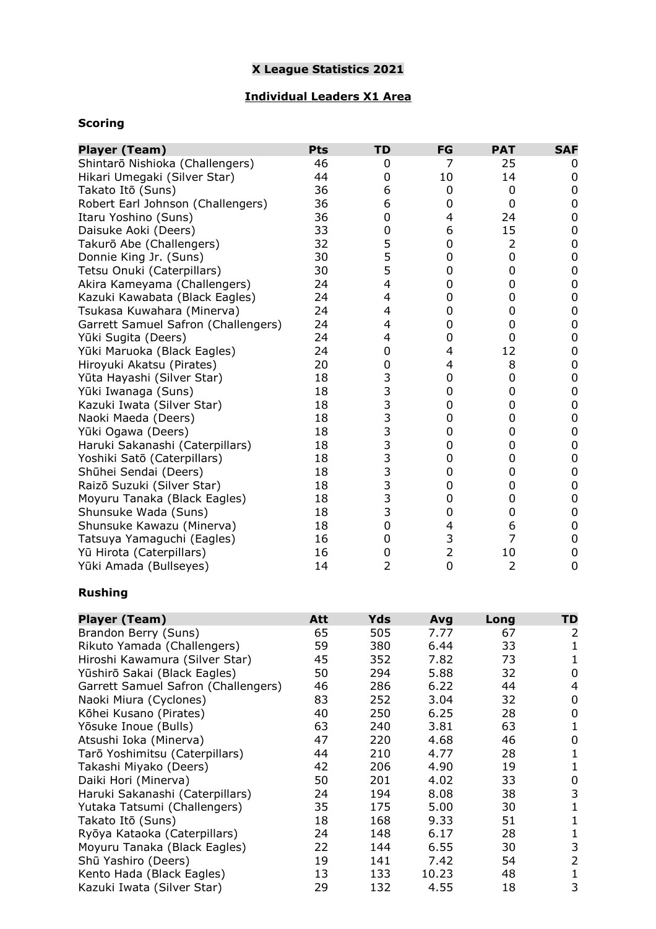## **X League Statistics 2021**

## **Individual Leaders X1 Area**

## **Scoring**

| <b>Player (Team)</b>                | Pts | <b>TD</b>                             | FG             | <b>PAT</b> | <b>SAF</b>       |
|-------------------------------------|-----|---------------------------------------|----------------|------------|------------------|
| Shintarō Nishioka (Challengers)     | 46  | 0                                     | 7              | 25         | 0                |
| Hikari Umegaki (Silver Star)        | 44  | 0                                     | 10             | 14         | 0                |
| Takato Itō (Suns)                   | 36  | 6                                     | 0              | 0          | 0                |
| Robert Earl Johnson (Challengers)   | 36  | 6                                     | 0              | 0          | 0                |
| Itaru Yoshino (Suns)                | 36  | $\mathbf 0$                           | 4              | 24         | $\pmb{0}$        |
| Daisuke Aoki (Deers)                | 33  | $\mathbf 0$                           | 6              | 15         | $\boldsymbol{0}$ |
| Takurō Abe (Challengers)            | 32  | 5                                     | 0              | 2          | $\pmb{0}$        |
| Donnie King Jr. (Suns)              | 30  | 5                                     | 0              | 0          | $\pmb{0}$        |
| Tetsu Onuki (Caterpillars)          | 30  | 5                                     | 0              | 0          | $\pmb{0}$        |
| Akira Kameyama (Challengers)        | 24  | $\overline{\mathbf{4}}$               | 0              | 0          | $\pmb{0}$        |
| Kazuki Kawabata (Black Eagles)      | 24  | 4                                     | 0              | 0          | $\pmb{0}$        |
| Tsukasa Kuwahara (Minerva)          | 24  | 4                                     | 0              | 0          | $\boldsymbol{0}$ |
| Garrett Samuel Safron (Challengers) | 24  | 4                                     | 0              | 0          | $\boldsymbol{0}$ |
| Yūki Sugita (Deers)                 | 24  | 4                                     | 0              | 0          | $\boldsymbol{0}$ |
| Yūki Maruoka (Black Eagles)         | 24  | $\mathbf 0$                           | $\overline{4}$ | 12         | $\boldsymbol{0}$ |
| Hiroyuki Akatsu (Pirates)           | 20  | $\mathbf 0$                           | $\overline{4}$ | 8          | $\boldsymbol{0}$ |
| Yūta Hayashi (Silver Star)          | 18  | 3                                     | 0              | 0          | $\boldsymbol{0}$ |
| Yūki Iwanaga (Suns)                 | 18  | $\begin{array}{c} 3 \\ 3 \end{array}$ | 0              | 0          | $\boldsymbol{0}$ |
| Kazuki Iwata (Silver Star)          | 18  |                                       | 0              | 0          | $\boldsymbol{0}$ |
| Naoki Maeda (Deers)                 | 18  |                                       | 0              | 0          | $\boldsymbol{0}$ |
| Yūki Ogawa (Deers)                  | 18  | 3                                     | 0              | 0          | $\boldsymbol{0}$ |
| Haruki Sakanashi (Caterpillars)     | 18  | 3                                     | 0              | 0          | $\boldsymbol{0}$ |
| Yoshiki Satō (Caterpillars)         | 18  | 3                                     | 0              | 0          | $\boldsymbol{0}$ |
| Shūhei Sendai (Deers)               | 18  | 3                                     | 0              | 0          | $\boldsymbol{0}$ |
| Raizō Suzuki (Silver Star)          | 18  | 3                                     | 0              | 0          | $\boldsymbol{0}$ |
| Moyuru Tanaka (Black Eagles)        | 18  | 3                                     | 0              | 0          | $\boldsymbol{0}$ |
| Shunsuke Wada (Suns)                | 18  | 3                                     | 0              | 0          | $\pmb{0}$        |
| Shunsuke Kawazu (Minerva)           | 18  | $\mathbf 0$                           | 4              | 6          | 0                |
| Tatsuya Yamaguchi (Eagles)          | 16  | 0                                     | 3              | 7          | $\pmb{0}$        |
| Yū Hirota (Caterpillars)            | 16  | 0                                     | $\overline{2}$ | 10         | 0                |
| Yūki Amada (Bullseyes)              | 14  | $\overline{2}$                        | 0              | 2          | 0                |
| <b>Rushing</b>                      |     |                                       |                |            |                  |
| <b>Player (Team)</b>                | Att | Yds                                   | Avg            | Long       | <b>TD</b>        |
| Brandon Berry (Suns)                | 65  | 505                                   | 7.77           | 67         | $\overline{2}$   |
| Rikuto Yamada (Challengers)         | 59  | 380                                   | 6.44           | 33         | 1                |
| Hiroshi Kawamura (Silver Star)      | 45  | 352                                   | 7.82           | 73         | $\mathbf{1}$     |
| Yūshirō Sakai (Black Eagles)        | 50  | 294                                   | 5.88           | 32         | 0                |
| Garrett Samuel Safron (Challengers) | 46  | 286                                   | 6.22           | 44         | 4                |
| Naoki Miura (Cyclones)              | 83  | 252                                   | 3.04           | 32         | 0                |
| Kōhei Kusano (Pirates)              | 40  | 250                                   | 6.25           | 28         | 0                |
| Yōsuke Inoue (Bulls)                | 63  | 240                                   | 3.81           | 63         | $\mathbf{1}$     |

| Yūshirō Sakai (Black Eagles)        | 50 | 294 | 5.88  | 32 | 0 |
|-------------------------------------|----|-----|-------|----|---|
| Garrett Samuel Safron (Challengers) | 46 | 286 | 6.22  | 44 | 4 |
| Naoki Miura (Cyclones)              | 83 | 252 | 3.04  | 32 | 0 |
| Kōhei Kusano (Pirates)              | 40 | 250 | 6.25  | 28 | 0 |
| Yōsuke Inoue (Bulls)                | 63 | 240 | 3.81  | 63 |   |
| Atsushi Ioka (Minerva)              | 47 | 220 | 4.68  | 46 | 0 |
| Tarō Yoshimitsu (Caterpillars)      | 44 | 210 | 4.77  | 28 |   |
| Takashi Miyako (Deers)              | 42 | 206 | 4.90  | 19 |   |
| Daiki Hori (Minerva)                | 50 | 201 | 4.02  | 33 | 0 |
| Haruki Sakanashi (Caterpillars)     | 24 | 194 | 8.08  | 38 | 3 |
| Yutaka Tatsumi (Challengers)        | 35 | 175 | 5.00  | 30 |   |
| Takato Itō (Suns)                   | 18 | 168 | 9.33  | 51 |   |
| Ryōya Kataoka (Caterpillars)        | 24 | 148 | 6.17  | 28 |   |
| Moyuru Tanaka (Black Eagles)        | 22 | 144 | 6.55  | 30 | 3 |
| Shū Yashiro (Deers)                 | 19 | 141 | 7.42  | 54 | 2 |
| Kento Hada (Black Eagles)           | 13 | 133 | 10.23 | 48 |   |
| Kazuki Iwata (Silver Star)          | 29 | 132 | 4.55  | 18 | 3 |
|                                     |    |     |       |    |   |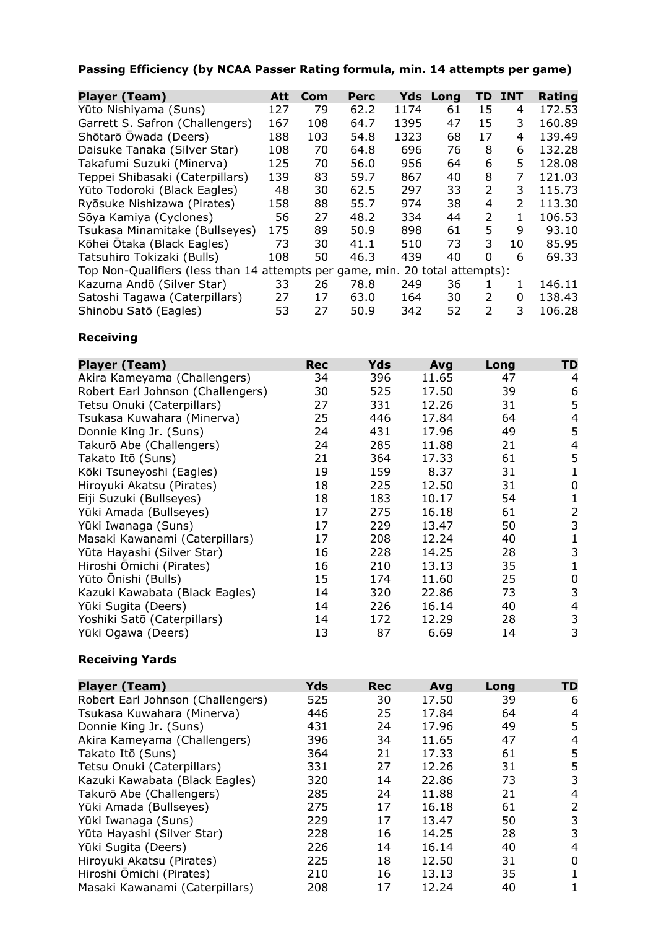# **Passing Efficiency (by NCAA Passer Rating formula, min. 14 attempts per game)**

| <b>Player (Team)</b>                                                         | Att | Com | Perc |      | <b>Yds Long</b> | TD            | <b>INT</b>     | Rating |
|------------------------------------------------------------------------------|-----|-----|------|------|-----------------|---------------|----------------|--------|
| Yūto Nishiyama (Suns)                                                        | 127 | 79  | 62.2 | 1174 | 61              | 15            | 4              | 172.53 |
| Garrett S. Safron (Challengers)                                              | 167 | 108 | 64.7 | 1395 | 47              | 15            | 3              | 160.89 |
| Shōtarō Ōwada (Deers)                                                        | 188 | 103 | 54.8 | 1323 | 68              | 17            | 4              | 139.49 |
| Daisuke Tanaka (Silver Star)                                                 | 108 | 70  | 64.8 | 696  | 76              | 8             | 6              | 132.28 |
| Takafumi Suzuki (Minerva)                                                    | 125 | 70  | 56.0 | 956  | 64              | 6             | 5.             | 128.08 |
| Teppei Shibasaki (Caterpillars)                                              | 139 | 83  | 59.7 | 867  | 40              | 8             | $\overline{7}$ | 121.03 |
| Yūto Todoroki (Black Eagles)                                                 | 48  | 30  | 62.5 | 297  | 33              | 2             | 3              | 115.73 |
| Ryōsuke Nishizawa (Pirates)                                                  | 158 | 88  | 55.7 | 974  | 38              | 4             | $\mathcal{P}$  | 113.30 |
| Sōya Kamiya (Cyclones)                                                       | 56  | 27  | 48.2 | 334  | 44              | 2             | 1              | 106.53 |
| Tsukasa Minamitake (Bullseyes)                                               | 175 | 89  | 50.9 | 898  | 61              | 5             | q              | 93.10  |
| Kōhei Ōtaka (Black Eagles)                                                   | 73  | 30  | 41.1 | 510  | 73              | 3             | 10             | 85.95  |
| Tatsuhiro Tokizaki (Bulls)                                                   | 108 | 50  | 46.3 | 439  | 40              | $\Omega$      | 6              | 69.33  |
| Top Non-Qualifiers (less than 14 attempts per game, min. 20 total attempts): |     |     |      |      |                 |               |                |        |
| Kazuma Andō (Silver Star)                                                    | 33  | 26  | 78.8 | 249  | 36              |               | 1              | 146.11 |
| Satoshi Tagawa (Caterpillars)                                                | 27  | 17  | 63.0 | 164  | 30              | $\mathcal{L}$ | 0              | 138.43 |
| Shinobu Satō (Eagles)                                                        | 53  | 27  | 50.9 | 342  | 52              | $\mathcal{P}$ | 3              | 106.28 |

## **Receiving**

| <b>Player (Team)</b>              | <b>Rec</b> | Yds | Avg   | Long | TD |
|-----------------------------------|------------|-----|-------|------|----|
| Akira Kameyama (Challengers)      | 34         | 396 | 11.65 | 47   | 4  |
| Robert Earl Johnson (Challengers) | 30         | 525 | 17.50 | 39   | 6  |
| Tetsu Onuki (Caterpillars)        | 27         | 331 | 12.26 | 31   | 5  |
| Tsukasa Kuwahara (Minerva)        | 25         | 446 | 17.84 | 64   | 4  |
| Donnie King Jr. (Suns)            | 24         | 431 | 17.96 | 49   | 5  |
| Takurō Abe (Challengers)          | 24         | 285 | 11.88 | 21   | 4  |
| Takato Itō (Suns)                 | 21         | 364 | 17.33 | 61   | 5  |
| Kōki Tsuneyoshi (Eagles)          | 19         | 159 | 8.37  | 31   | 1  |
| Hiroyuki Akatsu (Pirates)         | 18         | 225 | 12.50 | 31   | 0  |
| Eiji Suzuki (Bullseyes)           | 18         | 183 | 10.17 | 54   |    |
| Yūki Amada (Bullseyes)            | 17         | 275 | 16.18 | 61   | 2  |
| Yūki Iwanaga (Suns)               | 17         | 229 | 13.47 | 50   | 3  |
| Masaki Kawanami (Caterpillars)    | 17         | 208 | 12.24 | 40   | 1  |
| Yūta Hayashi (Silver Star)        | 16         | 228 | 14.25 | 28   | 3  |
| Hiroshi Ōmichi (Pirates)          | 16         | 210 | 13.13 | 35   |    |
| Yūto Ōnishi (Bulls)               | 15         | 174 | 11.60 | 25   | 0  |
| Kazuki Kawabata (Black Eagles)    | 14         | 320 | 22.86 | 73   | 3  |
| Yūki Sugita (Deers)               | 14         | 226 | 16.14 | 40   | 4  |
| Yoshiki Satō (Caterpillars)       | 14         | 172 | 12.29 | 28   | 3  |
| Yūki Ogawa (Deers)                | 13         | 87  | 6.69  | 14   | 3  |

#### **Receiving Yards**

| <b>Player (Team)</b>              | <b>Yds</b> | <b>Rec</b> | Avg   | Long | TD |
|-----------------------------------|------------|------------|-------|------|----|
| Robert Earl Johnson (Challengers) | 525        | 30         | 17.50 | 39   | 6  |
| Tsukasa Kuwahara (Minerva)        | 446        | 25         | 17.84 | 64   | 4  |
| Donnie King Jr. (Suns)            | 431        | 24         | 17.96 | 49   | 5  |
| Akira Kameyama (Challengers)      | 396        | 34         | 11.65 | 47   | 4  |
| Takato Itō (Suns)                 | 364        | 21         | 17.33 | 61   | 5  |
| Tetsu Onuki (Caterpillars)        | 331        | 27         | 12.26 | 31   | 5  |
| Kazuki Kawabata (Black Eagles)    | 320        | 14         | 22.86 | 73   | 3  |
| Takurō Abe (Challengers)          | 285        | 24         | 11.88 | 21   | 4  |
| Yūki Amada (Bullseyes)            | 275        | 17         | 16.18 | 61   | 2  |
| Yūki Iwanaga (Suns)               | 229        | 17         | 13.47 | 50   | 3  |
| Yūta Hayashi (Silver Star)        | 228        | 16         | 14.25 | 28   | 3  |
| Yūki Sugita (Deers)               | 226        | 14         | 16.14 | 40   | 4  |
| Hiroyuki Akatsu (Pirates)         | 225        | 18         | 12.50 | 31   | 0  |
| Hiroshi Ōmichi (Pirates)          | 210        | 16         | 13.13 | 35   |    |
| Masaki Kawanami (Caterpillars)    | 208        | 17         | 12.24 | 40   |    |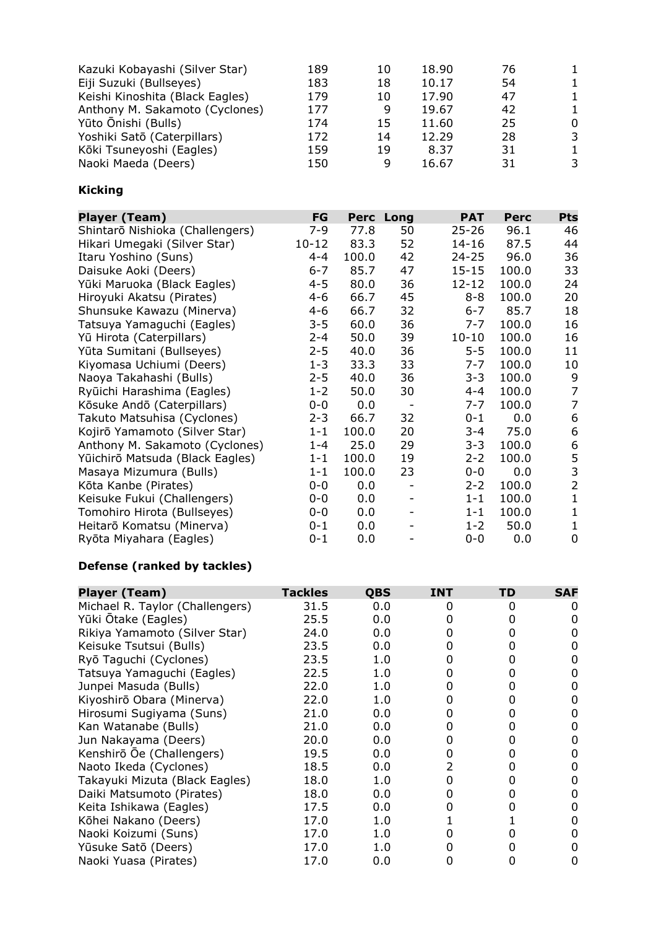| Kazuki Kobayashi (Silver Star)<br>Eiji Suzuki (Bullseyes)<br>Keishi Kinoshita (Black Eagles)<br>Anthony M. Sakamoto (Cyclones)<br>Yūto Ōnishi (Bulls)<br>Yoshiki Satō (Caterpillars) | 189<br>183<br>179<br>177<br>174<br>172 | 10<br>18<br>10<br>9<br>15<br>14 | 18.90<br>10.17<br>17.90<br>19.67<br>11.60<br>12.29 | 76<br>54<br>47<br>42<br>25<br>28 | 0<br>3 |
|--------------------------------------------------------------------------------------------------------------------------------------------------------------------------------------|----------------------------------------|---------------------------------|----------------------------------------------------|----------------------------------|--------|
| Kōki Tsuneyoshi (Eagles)                                                                                                                                                             | 159                                    | 19                              | 8.37                                               | 31                               | 3      |
| Naoki Maeda (Deers)                                                                                                                                                                  | 150                                    | 9                               | 16.67                                              | 31                               |        |

## **Kicking**

| <b>Player (Team)</b>            | FG        |       | Perc Long                | <b>PAT</b> | <b>Perc</b> | <b>Pts</b>     |
|---------------------------------|-----------|-------|--------------------------|------------|-------------|----------------|
| Shintarō Nishioka (Challengers) | 7-9       | 77.8  | 50                       | $25 - 26$  | 96.1        | 46             |
| Hikari Umegaki (Silver Star)    | $10 - 12$ | 83.3  | 52                       | $14 - 16$  | 87.5        | 44             |
| Itaru Yoshino (Suns)            | $4 - 4$   | 100.0 | 42                       | $24 - 25$  | 96.0        | 36             |
| Daisuke Aoki (Deers)            | $6 - 7$   | 85.7  | 47                       | $15 - 15$  | 100.0       | 33             |
| Yūki Maruoka (Black Eagles)     | $4 - 5$   | 80.0  | 36                       | 12-12      | 100.0       | 24             |
| Hiroyuki Akatsu (Pirates)       | $4 - 6$   | 66.7  | 45                       | $8 - 8$    | 100.0       | 20             |
| Shunsuke Kawazu (Minerva)       | $4 - 6$   | 66.7  | 32                       | $6 - 7$    | 85.7        | 18             |
| Tatsuya Yamaguchi (Eagles)      | $3 - 5$   | 60.0  | 36                       | $7 - 7$    | 100.0       | 16             |
| Yū Hirota (Caterpillars)        | $2 - 4$   | 50.0  | 39                       | $10 - 10$  | 100.0       | 16             |
| Yūta Sumitani (Bullseyes)       | $2 - 5$   | 40.0  | 36                       | $5 - 5$    | 100.0       | 11             |
| Kiyomasa Uchiumi (Deers)        | $1 - 3$   | 33.3  | 33                       | $7 - 7$    | 100.0       | 10             |
| Naoya Takahashi (Bulls)         | $2 - 5$   | 40.0  | 36                       | $3 - 3$    | 100.0       | 9              |
| Ryūichi Harashima (Eagles)      | $1 - 2$   | 50.0  | 30                       | $4 - 4$    | 100.0       | $\overline{7}$ |
| Kōsuke Andō (Caterpillars)      | $0 - 0$   | 0.0   | $\overline{\phantom{a}}$ | $7 - 7$    | 100.0       | 7              |
| Takuto Matsuhisa (Cyclones)     | $2 - 3$   | 66.7  | 32                       | $0 - 1$    | 0.0         | 6              |
| Kojirō Yamamoto (Silver Star)   | $1 - 1$   | 100.0 | 20                       | $3 - 4$    | 75.0        | 6              |
| Anthony M. Sakamoto (Cyclones)  | $1 - 4$   | 25.0  | 29                       | $3 - 3$    | 100.0       | 6              |
| Yūichirō Matsuda (Black Eagles) | 1-1       | 100.0 | 19                       | $2 - 2$    | 100.0       | 5              |
| Masaya Mizumura (Bulls)         | $1 - 1$   | 100.0 | 23                       | $0 - 0$    | 0.0         | 3              |
| Kōta Kanbe (Pirates)            | $0-0$     | 0.0   |                          | $2 - 2$    | 100.0       | $\overline{2}$ |
| Keisuke Fukui (Challengers)     | $0-0$     | 0.0   |                          | $1 - 1$    | 100.0       | 1              |
| Tomohiro Hirota (Bullseyes)     | $0-0$     | 0.0   |                          | $1 - 1$    | 100.0       | 1              |
| Heitarō Komatsu (Minerva)       | 0-1       | 0.0   |                          | $1 - 2$    | 50.0        | 1              |
| Ryōta Miyahara (Eagles)         | $0 - 1$   | 0.0   |                          | $0-0$      | 0.0         | 0              |

## **Defense (ranked by tackles)**

| <b>Player (Team)</b>            | <b>Tackles</b> | <b>QBS</b> | <b>INT</b> | TD | <b>SAF</b> |
|---------------------------------|----------------|------------|------------|----|------------|
| Michael R. Taylor (Challengers) | 31.5           | 0.0        | O          | O  |            |
| Yūki Ōtake (Eagles)             | 25.5           | 0.0        |            |    |            |
| Rikiya Yamamoto (Silver Star)   | 24.0           | 0.0        |            |    |            |
| Keisuke Tsutsui (Bulls)         | 23.5           | 0.0        |            |    |            |
| Ryō Taguchi (Cyclones)          | 23.5           | 1.0        | 0          |    |            |
| Tatsuya Yamaguchi (Eagles)      | 22.5           | 1.0        |            |    |            |
| Junpei Masuda (Bulls)           | 22.0           | 1.0        |            |    |            |
| Kiyoshirō Obara (Minerva)       | 22.0           | 1.0        |            |    | O          |
| Hirosumi Sugiyama (Suns)        | 21.0           | 0.0        |            |    |            |
| Kan Watanabe (Bulls)            | 21.0           | 0.0        |            |    |            |
| Jun Nakayama (Deers)            | 20.0           | 0.0        |            |    |            |
| Kenshirō Ōe (Challengers)       | 19.5           | 0.0        | O          | 0  |            |
| Naoto Ikeda (Cyclones)          | 18.5           | 0.0        | 2          |    |            |
| Takayuki Mizuta (Black Eagles)  | 18.0           | 1.0        |            |    |            |
| Daiki Matsumoto (Pirates)       | 18.0           | 0.0        |            |    |            |
| Keita Ishikawa (Eagles)         | 17.5           | 0.0        |            |    |            |
| Kōhei Nakano (Deers)            | 17.0           | 1.0        |            |    | O          |
| Naoki Koizumi (Suns)            | 17.0           | 1.0        |            |    |            |
| Yūsuke Satō (Deers)             | 17.0           | 1.0        |            |    |            |
| Naoki Yuasa (Pirates)           | 17.0           | 0.0        |            |    |            |